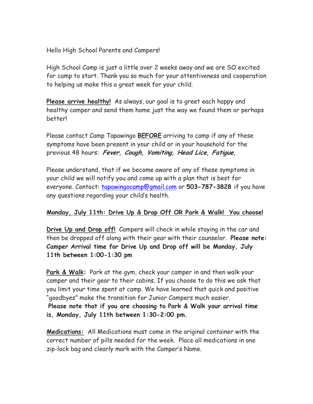Hello High School Parents and Campers!

High School Camp is just a little over 2 weeks away and we are SO excited for camp to start. Thank you so much for your attentiveness and cooperation to helping us make this a great week for your child.

**Please arrive healthy!** As always, our goal is to greet each happy and healthy camper and send them home just the way we found them or perhaps better!

Please contact Camp Tapawingo **BEFORE** arriving to camp if any of these symptoms have been present in your child or in your household for the previous 48 hours: **Fever, Cough, Vomiting, Head Lice, Fatigue,** 

Please understand, that if we become aware of any of these symptoms in your child we will notify you and come up with a plan that is best for everyone. Contact: tapawingocamp@gmail.com or **503-787-3828** if you have any questions regarding your child's health.

## **Monday, July 11th: Drive Up & Drop Off OR Park & Walk! You choose!**

**Drive Up and Drop off!** Campers will check in while staying in the car and then be dropped off along with their gear with their counselor. **Please note: Camper Arrival time for Drive Up and Drop off will be Monday, July 11th between 1:00-1:30 pm** 

**Park & Walk:** Park at the gym, check your camper in and then walk your camper and their gear to their cabins. If you choose to do this we ask that you limit your time spent at camp. We have learned that quick and positive "goodbyes" make the transition for Junior Campers much easier.

**Please note that if you are choosing to Park & Walk your arrival time is, Monday, July 11th between 1:30-2:00 pm.** 

**Medications:** All Medications must come in the original container with the correct number of pills needed for the week. Place all medications in one zip-lock bag and clearly mark with the Camper's Name.